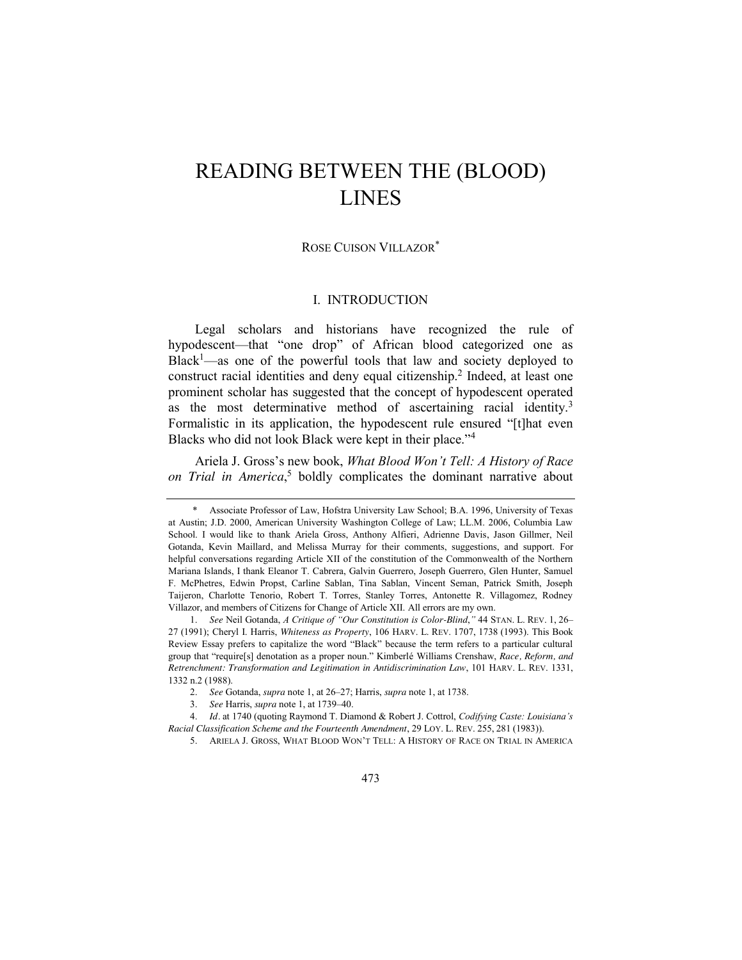# READING BETWEEN THE (BLOOD) LINES

## ROSE CUISON VILLAZOR\*

### I. INTRODUCTION

<span id="page-0-0"></span>Legal scholars and historians have recognized the rule of hypodescent—that "one drop" of African blood categorized one as Black<sup>1</sup>—as one of the powerful tools that law and society deployed to construct racial identities and deny equal citizenship.<sup>2</sup> Indeed, at least one prominent scholar has suggested that the concept of hypodescent operated as the most determinative method of ascertaining racial identity.<sup>3</sup> Formalistic in its application, the hypodescent rule ensured "[t]hat even Blacks who did not look Black were kept in their place."<sup>4</sup>

<span id="page-0-1"></span>Ariela J. Gross's new book, *What Blood Won't Tell: A History of Race on Trial in America*, <sup>5</sup> boldly complicates the dominant narrative about

<sup>\*</sup> Associate Professor of Law, Hofstra University Law School; B.A. 1996, University of Texas at Austin; J.D. 2000, American University Washington College of Law; LL.M. 2006, Columbia Law School. I would like to thank Ariela Gross, Anthony Alfieri, Adrienne Davis, Jason Gillmer, Neil Gotanda, Kevin Maillard, and Melissa Murray for their comments, suggestions, and support. For helpful conversations regarding Article XII of the constitution of the Commonwealth of the Northern Mariana Islands, I thank Eleanor T. Cabrera, Galvin Guerrero, Joseph Guerrero, Glen Hunter, Samuel F. McPhetres, Edwin Propst, Carline Sablan, Tina Sablan, Vincent Seman, Patrick Smith, Joseph Taijeron, Charlotte Tenorio, Robert T. Torres, Stanley Torres, Antonette R. Villagomez, Rodney Villazor, and members of Citizens for Change of Article XII. All errors are my own.

<sup>1.</sup> *See* Neil Gotanda, *A Critique of "Our Constitution is Color-Blind*,*"* 44 STAN. L. REV. 1, 26– 27 (1991); Cheryl I. Harris, *Whiteness as Property*, 106 HARV. L. REV. 1707, 1738 (1993). This Book Review Essay prefers to capitalize the word "Black" because the term refers to a particular cultural group that "require[s] denotation as a proper noun." Kimberlé Williams Crenshaw, *Race, Reform, and Retrenchment: Transformation and Legitimation in Antidiscrimination Law*, 101 HARV. L. REV. 1331, 1332 n.2 (1988).

<sup>2.</sup> *See* Gotanda, *supra* not[e 1,](#page-0-0) at 26–27; Harris, *supra* not[e 1,](#page-0-0) at 1738.

<sup>3.</sup> *See* Harris, *supra* note [1,](#page-0-0) at 1739–40.

<sup>4.</sup> *Id.* at 1740 (quoting Raymond T. Diamond & Robert J. Cottrol, *Codifying Caste: Louisiana's Racial Classification Scheme and the Fourteenth Amendment*, 29 LOY. L. REV. 255, 281 (1983)).

<sup>5.</sup> ARIELA J. GROSS, WHAT BLOOD WON'T TELL: A HISTORY OF RACE ON TRIAL IN AMERICA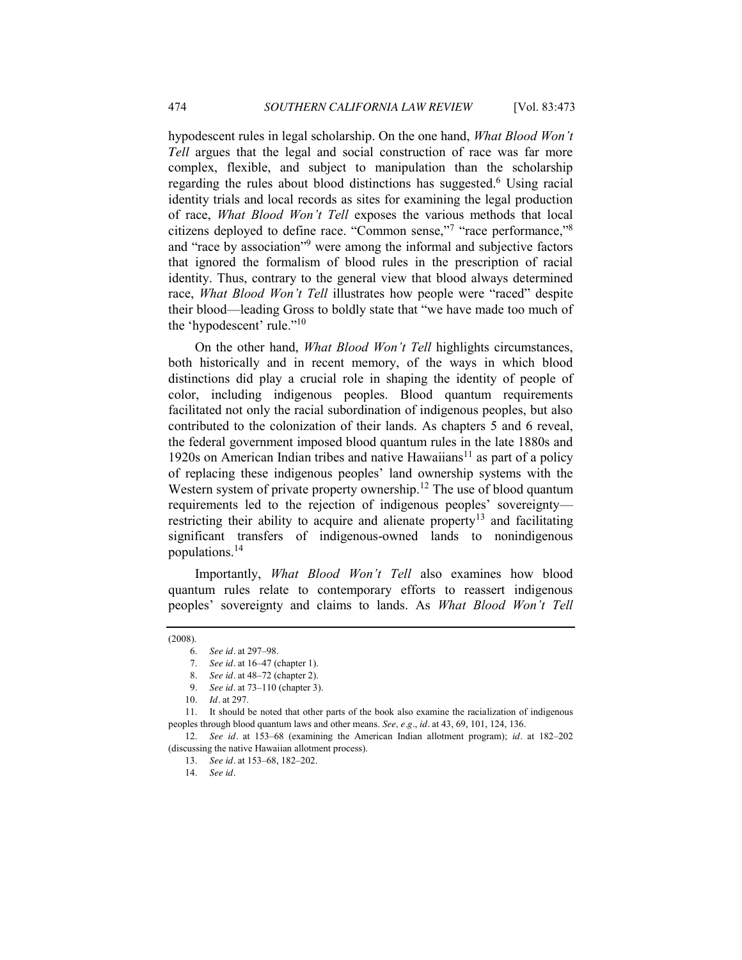hypodescent rules in legal scholarship. On the one hand, *What Blood Won't Tell* argues that the legal and social construction of race was far more complex, flexible, and subject to manipulation than the scholarship regarding the rules about blood distinctions has suggested.<sup>6</sup> Using racial identity trials and local records as sites for examining the legal production of race, *What Blood Won't Tell* exposes the various methods that local citizens deployed to define race. "Common sense,"7 "race performance,"8 and "race by association"<sup>9</sup> were among the informal and subjective factors that ignored the formalism of blood rules in the prescription of racial identity. Thus, contrary to the general view that blood always determined race, What Blood Won't Tell illustrates how people were "raced" despite their blood—leading Gross to boldly state that "we have made too much of the 'hypodescent' rule." $10$ 

On the other hand, *What Blood Won't Tell* highlights circumstances, both historically and in recent memory, of the ways in which blood distinctions did play a crucial role in shaping the identity of people of color, including indigenous peoples. Blood quantum requirements facilitated not only the racial subordination of indigenous peoples, but also contributed to the colonization of their lands. As chapters 5 and 6 reveal, the federal government imposed blood quantum rules in the late 1880s and 1920s on American Indian tribes and native  $Hawaiians<sup>11</sup>$  as part of a policy of replacing these indigenous peoples' land ownership systems with the Western system of private property ownership.<sup>12</sup> The use of blood quantum requirements led to the rejection of indigenous peoples' sovereignty restricting their ability to acquire and alienate property<sup>13</sup> and facilitating significant transfers of indigenous-owned lands to nonindigenous populations.14

Importantly, *What Blood Won't Tell* also examines how blood quantum rules relate to contemporary efforts to reassert indigenous peoples' sovereignty and claims to lands. As *What Blood Won't Tell*

<sup>(2008).</sup>

<sup>6.</sup> *See id.* at 297–98.

<sup>7.</sup> *See id.* at 16–47 (chapter 1).

<sup>8.</sup> *See id.* at 48–72 (chapter 2).

<sup>9.</sup> *See id.* at 73–110 (chapter 3).

<sup>10.</sup> *Id.* at 297.

<sup>11.</sup> It should be noted that other parts of the book also examine the racialization of indigenous peoples through blood quantum laws and other means. *See, e.g.*, *id.* at 43, 69, 101, 124, 136.

<sup>12.</sup> *See id.* at 153–68 (examining the American Indian allotment program); *id.* at 182–202 (discussing the native Hawaiian allotment process).

<sup>13.</sup> *See id.* at 153–68, 182–202.

<sup>14.</sup> *See id.*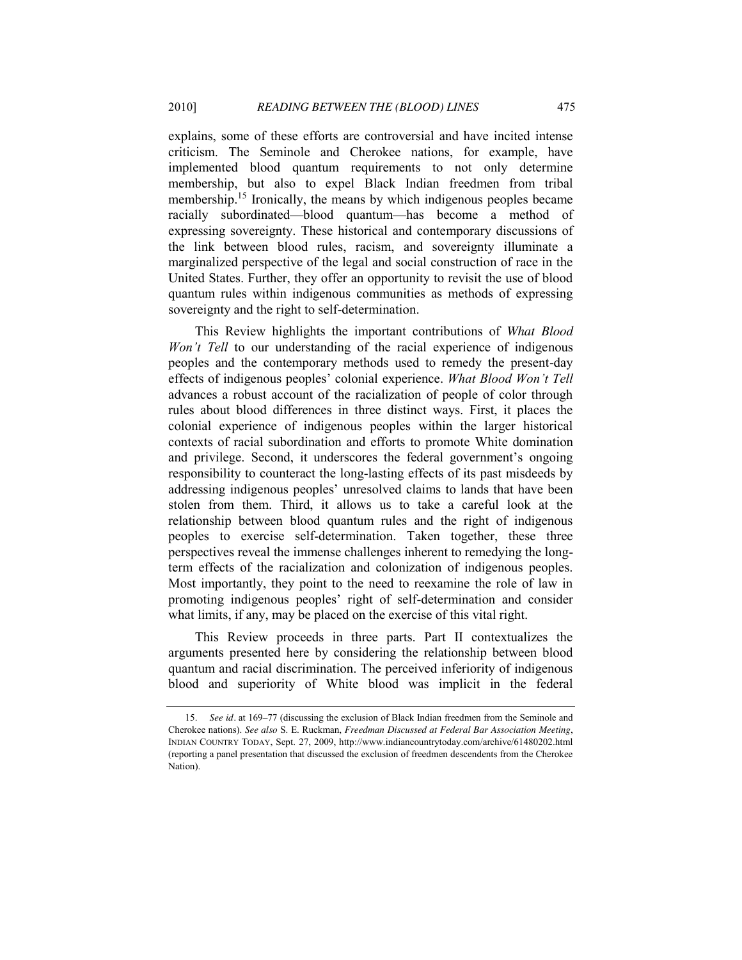explains, some of these efforts are controversial and have incited intense criticism. The Seminole and Cherokee nations, for example, have implemented blood quantum requirements to not only determine membership, but also to expel Black Indian freedmen from tribal membership.<sup>15</sup> Ironically, the means by which indigenous peoples became racially subordinated—blood quantum—has become a method of expressing sovereignty. These historical and contemporary discussions of the link between blood rules, racism, and sovereignty illuminate a marginalized perspective of the legal and social construction of race in the United States. Further, they offer an opportunity to revisit the use of blood quantum rules within indigenous communities as methods of expressing sovereignty and the right to self-determination.

This Review highlights the important contributions of *What Blood Won't Tell* to our understanding of the racial experience of indigenous peoples and the contemporary methods used to remedy the present-day effects of indigenous peoples' colonial experience. *What Blood Won't Tell*  advances a robust account of the racialization of people of color through rules about blood differences in three distinct ways. First, it places the colonial experience of indigenous peoples within the larger historical contexts of racial subordination and efforts to promote White domination and privilege. Second, it underscores the federal government's ongoing responsibility to counteract the long-lasting effects of its past misdeeds by addressing indigenous peoples' unresolved claims to lands that have been stolen from them. Third, it allows us to take a careful look at the relationship between blood quantum rules and the right of indigenous peoples to exercise self-determination. Taken together, these three perspectives reveal the immense challenges inherent to remedying the longterm effects of the racialization and colonization of indigenous peoples. Most importantly, they point to the need to reexamine the role of law in promoting indigenous peoples' right of self-determination and consider what limits, if any, may be placed on the exercise of this vital right.

This Review proceeds in three parts. Part II contextualizes the arguments presented here by considering the relationship between blood quantum and racial discrimination. The perceived inferiority of indigenous blood and superiority of White blood was implicit in the federal

<sup>15.</sup> *See id.* at 169–77 (discussing the exclusion of Black Indian freedmen from the Seminole and Cherokee nations). *See also* S. E. Ruckman, *Freedman Discussed at Federal Bar Association Meeting*, INDIAN COUNTRY TODAY, Sept. 27, 2009, http://www.indiancountrytoday.com/archive/61480202.html (reporting a panel presentation that discussed the exclusion of freedmen descendents from the Cherokee Nation).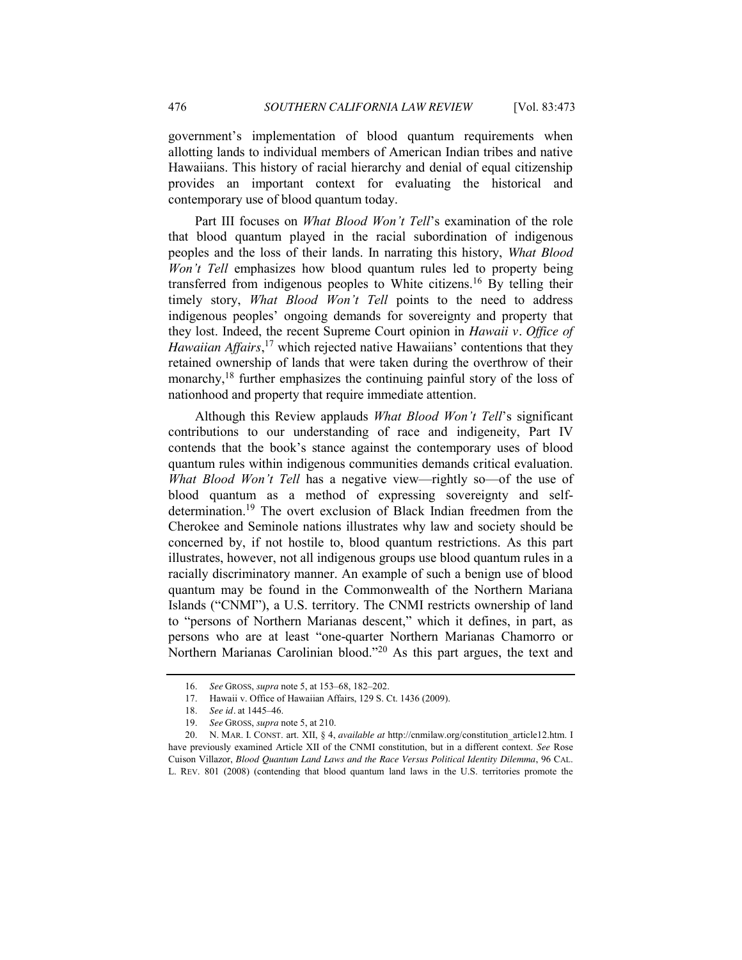government's implementation of blood quantum requirements when allotting lands to individual members of American Indian tribes and native Hawaiians. This history of racial hierarchy and denial of equal citizenship provides an important context for evaluating the historical and contemporary use of blood quantum today.

Part III focuses on *What Blood Won't Tell*'s examination of the role that blood quantum played in the racial subordination of indigenous peoples and the loss of their lands. In narrating this history, *What Blood Won't Tell* emphasizes how blood quantum rules led to property being transferred from indigenous peoples to White citizens.<sup>16</sup> By telling their timely story, *What Blood Won't Tell* points to the need to address indigenous peoples' ongoing demands for sovereignty and property that they lost. Indeed, the recent Supreme Court opinion in *Hawaii v. Office of Hawaiian Affairs*, <sup>17</sup> which rejected native Hawaiians' contentions that they retained ownership of lands that were taken during the overthrow of their monarchy,<sup>18</sup> further emphasizes the continuing painful story of the loss of nationhood and property that require immediate attention.

Although this Review applauds *What Blood Won't Tell*'s significant contributions to our understanding of race and indigeneity, Part IV contends that the book's stance against the contemporary uses of blood quantum rules within indigenous communities demands critical evaluation. *What Blood Won't Tell* has a negative view—rightly so—of the use of blood quantum as a method of expressing sovereignty and selfdetermination.<sup>19</sup> The overt exclusion of Black Indian freedmen from the Cherokee and Seminole nations illustrates why law and society should be concerned by, if not hostile to, blood quantum restrictions. As this part illustrates, however, not all indigenous groups use blood quantum rules in a racially discriminatory manner. An example of such a benign use of blood quantum may be found in the Commonwealth of the Northern Mariana Islands ("CNMI"), a U.S. territory. The CNMI restricts ownership of land to "persons of Northern Marianas descent," which it defines, in part, as persons who are at least "one-quarter Northern Marianas Chamorro or Northern Marianas Carolinian blood."<sup>20</sup> As this part argues, the text and

<span id="page-3-0"></span><sup>16.</sup> *See* GROSS, *supra* note [5,](#page-0-1) at 153–68, 182–202.

<sup>17.</sup> Hawaii v. Office of Hawaiian Affairs, 129 S. Ct. 1436 (2009).

<sup>18.</sup> *See id.* at 1445–46.

<sup>19.</sup> *See* GROSS, *supra* note [5,](#page-0-1) at 210.

<sup>20.</sup> N. MAR. I. CONST. art. XII, § 4, *available at* http://cnmilaw.org/constitution\_article12.htm. I have previously examined Article XII of the CNMI constitution, but in a different context. *See* Rose Cuison Villazor, *Blood Quantum Land Laws and the Race Versus Political Identity Dilemma*, 96 CAL. L. REV. 801 (2008) (contending that blood quantum land laws in the U.S. territories promote the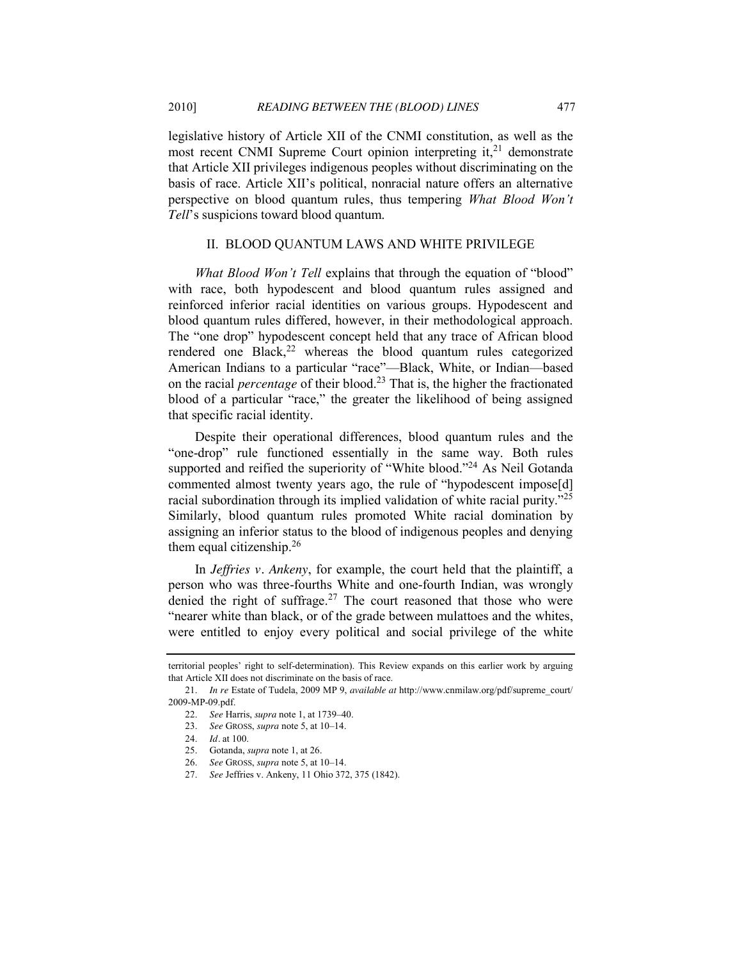legislative history of Article XII of the CNMI constitution, as well as the most recent CNMI Supreme Court opinion interpreting it, $^{21}$  demonstrate that Article XII privileges indigenous peoples without discriminating on the basis of race. Article XII's political, nonracial nature offers an alternative perspective on blood quantum rules, thus tempering *What Blood Won't Tell*'s suspicions toward blood quantum.

#### II. BLOOD QUANTUM LAWS AND WHITE PRIVILEGE

*What Blood Won't Tell* explains that through the equation of "blood" with race, both hypodescent and blood quantum rules assigned and reinforced inferior racial identities on various groups. Hypodescent and blood quantum rules differed, however, in their methodological approach. The "one drop" hypodescent concept held that any trace of African blood rendered one Black, $22$  whereas the blood quantum rules categorized American Indians to a particular "race"—Black, White, or Indian—based on the racial *percentage* of their blood.23 That is, the higher the fractionated blood of a particular "race," the greater the likelihood of being assigned that specific racial identity.

Despite their operational differences, blood quantum rules and the "one-drop" rule functioned essentially in the same way. Both rules supported and reified the superiority of "White blood."<sup>24</sup> As Neil Gotanda commented almost twenty years ago, the rule of "hypodescent impose[d] racial subordination through its implied validation of white racial purity.<sup> $25$ </sup> Similarly, blood quantum rules promoted White racial domination by assigning an inferior status to the blood of indigenous peoples and denying them equal citizenship. $2<sup>6</sup>$ 

In *Jeffries v. Ankeny*, for example, the court held that the plaintiff, a person who was three-fourths White and one-fourth Indian, was wrongly denied the right of suffrage.<sup>27</sup> The court reasoned that those who were "nearer white than black, or of the grade between mulattoes and the whites, were entitled to enjoy every political and social privilege of the white

territorial peoples' right to self-determination). This Review expands on this earlier work by arguing that Article XII does not discriminate on the basis of race.

<sup>21.</sup> *In re* Estate of Tudela, 2009 MP 9, *available at* http://www.cnmilaw.org/pdf/supreme\_court/ 2009-MP-09.pdf.

<sup>22.</sup> *See* Harris, *supra* not[e 1,](#page-0-0) at 1739–40.

<sup>23.</sup> *See* GROSS, *supra* not[e 5,](#page-0-1) at 10–14.

<sup>24.</sup> *Id.* at 100.

<sup>25.</sup> Gotanda, *supra* not[e 1,](#page-0-0) at 26.

<sup>26.</sup> *See* GROSS, *supra* not[e 5,](#page-0-1) at 10–14.

<sup>27.</sup> *See* Jeffries v. Ankeny, 11 Ohio 372, 375 (1842).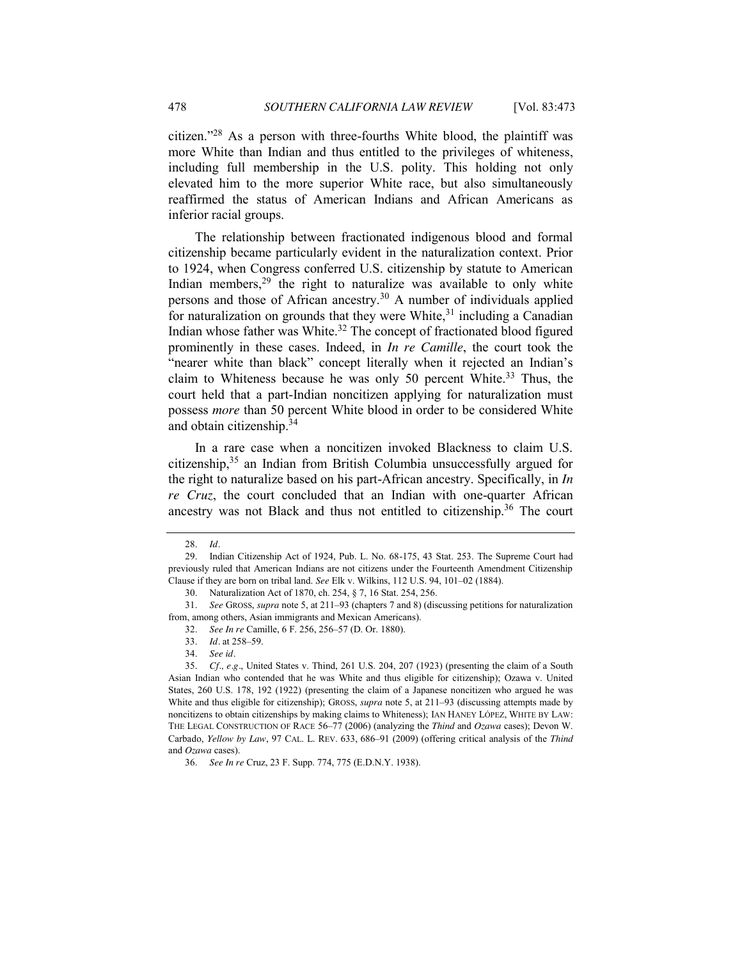citizen."<sup>28</sup> As a person with three-fourths White blood, the plaintiff was more White than Indian and thus entitled to the privileges of whiteness, including full membership in the U.S. polity. This holding not only elevated him to the more superior White race, but also simultaneously reaffirmed the status of American Indians and African Americans as inferior racial groups.

The relationship between fractionated indigenous blood and formal citizenship became particularly evident in the naturalization context. Prior to 1924, when Congress conferred U.S. citizenship by statute to American Indian members, $29$  the right to naturalize was available to only white persons and those of African ancestry.<sup>30</sup> A number of individuals applied for naturalization on grounds that they were White,  $31$  including a Canadian Indian whose father was White. $32$  The concept of fractionated blood figured prominently in these cases. Indeed, in *In re Camille*, the court took the "nearer white than black" concept literally when it rejected an Indian's claim to Whiteness because he was only 50 percent White.<sup>33</sup> Thus, the court held that a part-Indian noncitizen applying for naturalization must possess *more* than 50 percent White blood in order to be considered White and obtain citizenship.<sup>34</sup>

In a rare case when a noncitizen invoked Blackness to claim U.S. citizenship, $35$  an Indian from British Columbia unsuccessfully argued for the right to naturalize based on his part-African ancestry. Specifically, in *In re Cruz*, the court concluded that an Indian with one-quarter African ancestry was not Black and thus not entitled to citizenship.<sup>36</sup> The court

<sup>28.</sup> *Id.*

<sup>29.</sup> Indian Citizenship Act of 1924, Pub. L. No. 68-175, 43 Stat. 253. The Supreme Court had previously ruled that American Indians are not citizens under the Fourteenth Amendment Citizenship Clause if they are born on tribal land. *See* Elk v. Wilkins, 112 U.S. 94, 101–02 (1884).

<sup>30.</sup> Naturalization Act of 1870, ch. 254, § 7, 16 Stat. 254, 256.

<sup>31.</sup> *See* GROSS, *supra* not[e 5,](#page-0-1) at 211–93 (chapters 7 and 8) (discussing petitions for naturalization from, among others, Asian immigrants and Mexican Americans).

<sup>32.</sup> *See In re* Camille, 6 F. 256, 256–57 (D. Or. 1880).

<sup>33.</sup> *Id.* at 258–59.

<sup>34.</sup> *See id.*

<sup>35.</sup> *Cf., e.g.*, United States v. Thind, 261 U.S. 204, 207 (1923) (presenting the claim of a South Asian Indian who contended that he was White and thus eligible for citizenship); Ozawa v. United States, 260 U.S. 178, 192 (1922) (presenting the claim of a Japanese noncitizen who argued he was White and thus eligible for citizenship); GROSS, *supra* note [5,](#page-0-1) at 211–93 (discussing attempts made by noncitizens to obtain citizenships by making claims to Whiteness); IAN HANEY LÓPEZ, WHITE BY LAW: THE LEGAL CONSTRUCTION OF RACE 56–77 (2006) (analyzing the *Thind* and *Ozawa* cases); Devon W. Carbado, *Yellow by Law*, 97 CAL. L. REV. 633, 686–91 (2009) (offering critical analysis of the *Thind* and *Ozawa* cases).

<sup>36.</sup> *See In re* Cruz, 23 F. Supp. 774, 775 (E.D.N.Y. 1938).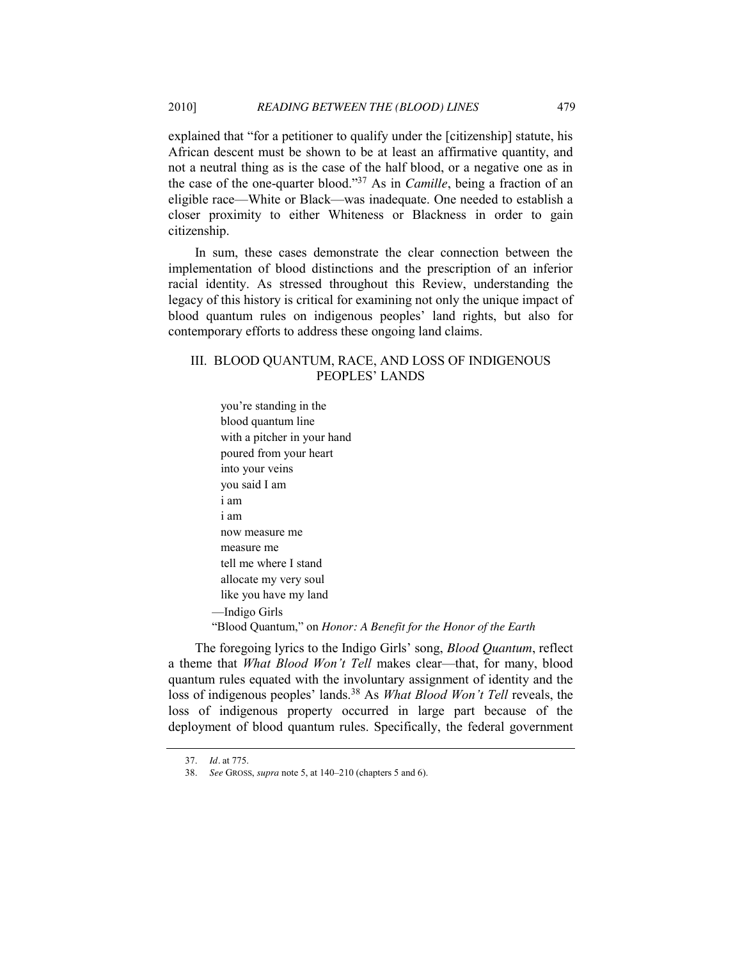explained that "for a petitioner to qualify under the [citizenship] statute, his African descent must be shown to be at least an affirmative quantity, and not a neutral thing as is the case of the half blood, or a negative one as in the case of the one-quarter blood."<sup>37</sup> As in *Camille*, being a fraction of an eligible race—White or Black—was inadequate. One needed to establish a closer proximity to either Whiteness or Blackness in order to gain citizenship.

In sum, these cases demonstrate the clear connection between the implementation of blood distinctions and the prescription of an inferior racial identity. As stressed throughout this Review, understanding the legacy of this history is critical for examining not only the unique impact of blood quantum rules on indigenous peoples' land rights, but also for contemporary efforts to address these ongoing land claims.

## III. BLOOD QUANTUM, RACE, AND LOSS OF INDIGENOUS PEOPLES' LANDS

you're standing in the blood quantum line with a pitcher in your hand poured from your heart into your veins you said I am i am i am now measure me measure me tell me where I stand allocate my very soul like you have my land —Indigo Girls ―Blood Quantum,‖ on *Honor: A Benefit for the Honor of the Earth*

The foregoing lyrics to the Indigo Girls' song, *Blood Quantum*, reflect a theme that *What Blood Won't Tell* makes clear—that, for many, blood quantum rules equated with the involuntary assignment of identity and the loss of indigenous peoples' lands.<sup>38</sup> As *What Blood Won't Tell* reveals, the loss of indigenous property occurred in large part because of the deployment of blood quantum rules. Specifically, the federal government

<sup>37.</sup> *Id.* at 775.

<sup>38.</sup> *See* GROSS, *supra* note [5,](#page-0-1) at 140–210 (chapters 5 and 6).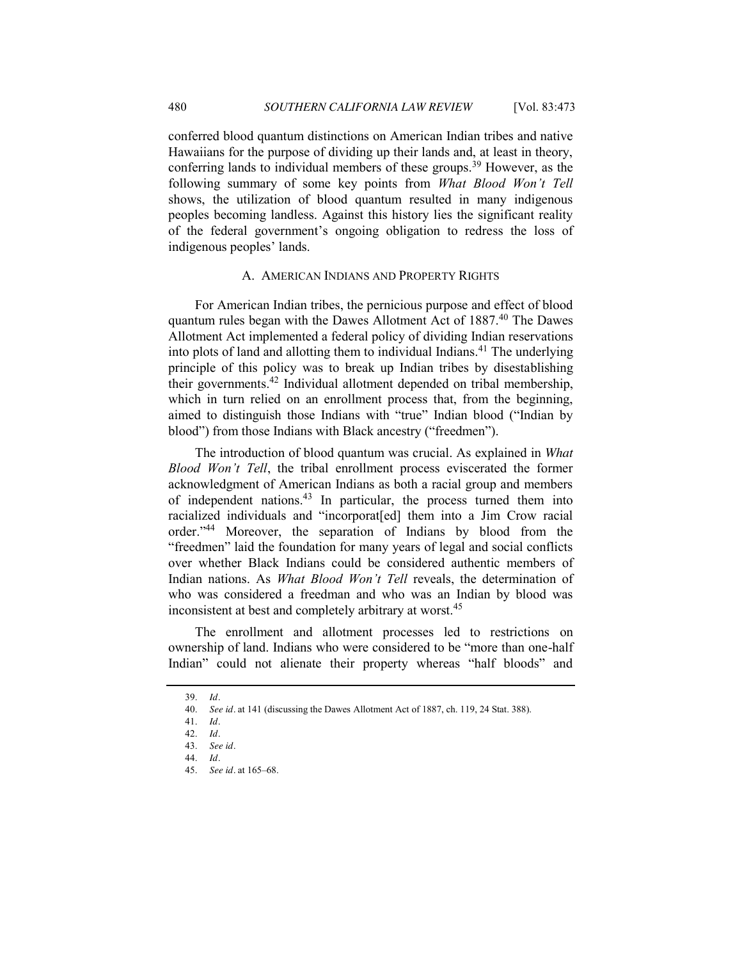conferred blood quantum distinctions on American Indian tribes and native

Hawaiians for the purpose of dividing up their lands and, at least in theory, conferring lands to individual members of these groups.<sup>39</sup> However, as the following summary of some key points from *What Blood Won't Tell* shows, the utilization of blood quantum resulted in many indigenous peoples becoming landless. Against this history lies the significant reality of the federal government's ongoing obligation to redress the loss of indigenous peoples' lands.

#### A. AMERICAN INDIANS AND PROPERTY RIGHTS

For American Indian tribes, the pernicious purpose and effect of blood quantum rules began with the Dawes Allotment Act of 1887.<sup>40</sup> The Dawes Allotment Act implemented a federal policy of dividing Indian reservations into plots of land and allotting them to individual Indians.<sup>41</sup> The underlying principle of this policy was to break up Indian tribes by disestablishing their governments.42 Individual allotment depended on tribal membership, which in turn relied on an enrollment process that, from the beginning, aimed to distinguish those Indians with "true" Indian blood ("Indian by blood") from those Indians with Black ancestry ("freedmen").

The introduction of blood quantum was crucial. As explained in *What Blood Won't Tell*, the tribal enrollment process eviscerated the former acknowledgment of American Indians as both a racial group and members of independent nations.43 In particular, the process turned them into racialized individuals and "incorporat[ed] them into a Jim Crow racial order."<sup>44</sup> Moreover, the separation of Indians by blood from the "freedmen" laid the foundation for many years of legal and social conflicts over whether Black Indians could be considered authentic members of Indian nations. As *What Blood Won't Tell* reveals, the determination of who was considered a freedman and who was an Indian by blood was inconsistent at best and completely arbitrary at worst.<sup>45</sup>

The enrollment and allotment processes led to restrictions on ownership of land. Indians who were considered to be "more than one-half" Indian" could not alienate their property whereas "half bloods" and

<sup>39.</sup> *Id.*

<sup>40.</sup> *See id.* at 141 (discussing the Dawes Allotment Act of 1887, ch. 119, 24 Stat. 388).

<sup>41.</sup> *Id.* 

<sup>42.</sup> *Id.* 

<sup>43.</sup> *See id.* 

<sup>44.</sup> *Id.* 

<sup>45.</sup> *See id.* at 165–68.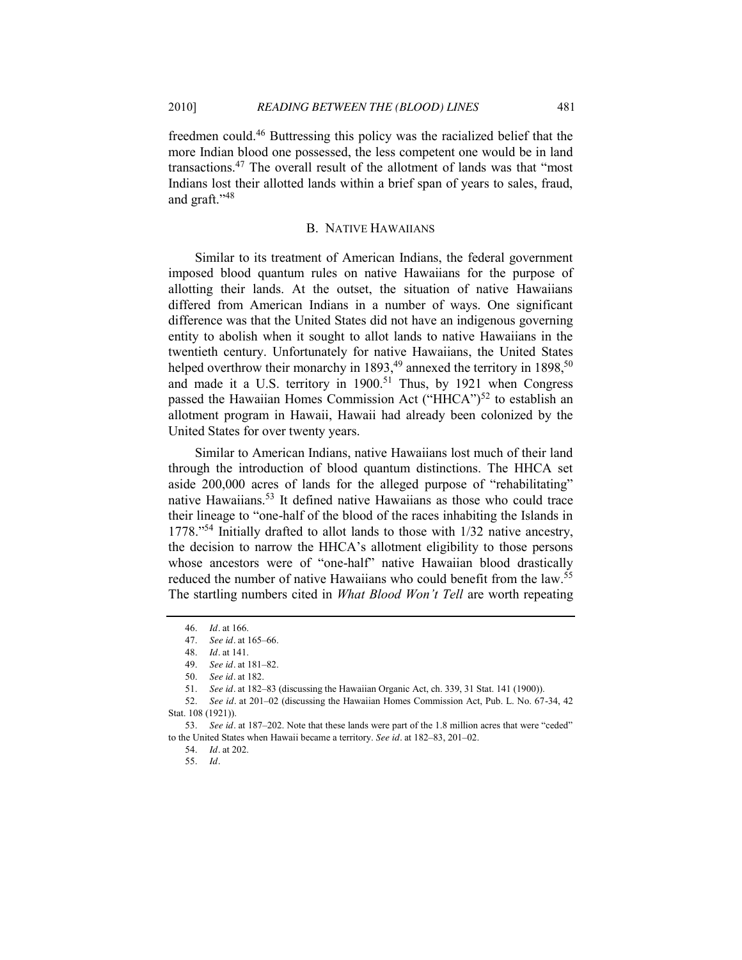freedmen could.46 Buttressing this policy was the racialized belief that the more Indian blood one possessed, the less competent one would be in land transactions.<sup>47</sup> The overall result of the allotment of lands was that "most Indians lost their allotted lands within a brief span of years to sales, fraud, and graft." $48$ 

#### B. NATIVE HAWAIIANS

Similar to its treatment of American Indians, the federal government imposed blood quantum rules on native Hawaiians for the purpose of allotting their lands. At the outset, the situation of native Hawaiians differed from American Indians in a number of ways. One significant difference was that the United States did not have an indigenous governing entity to abolish when it sought to allot lands to native Hawaiians in the twentieth century. Unfortunately for native Hawaiians, the United States helped overthrow their monarchy in 1893,<sup>49</sup> annexed the territory in 1898,<sup>50</sup> and made it a U.S. territory in 1900.<sup>51</sup> Thus, by 1921 when Congress passed the Hawaiian Homes Commission Act ("HHCA")<sup>52</sup> to establish an allotment program in Hawaii, Hawaii had already been colonized by the United States for over twenty years.

Similar to American Indians, native Hawaiians lost much of their land through the introduction of blood quantum distinctions. The HHCA set aside 200,000 acres of lands for the alleged purpose of "rehabilitating" native Hawaiians.<sup>53</sup> It defined native Hawaiians as those who could trace their lineage to "one-half of the blood of the races inhabiting the Islands in  $1778.^{54}$  Initially drafted to allot lands to those with  $1/32$  native ancestry, the decision to narrow the HHCA's allotment eligibility to those persons whose ancestors were of "one-half" native Hawaiian blood drastically reduced the number of native Hawaiians who could benefit from the law.<sup>55</sup> The startling numbers cited in *What Blood Won't Tell* are worth repeating

55. *Id.*

<sup>46.</sup> *Id.* at 166.

<sup>47.</sup> *See id.* at 165–66.

<sup>48.</sup> *Id.* at 141.

<sup>49.</sup> *See id.* at 181–82.

<sup>50.</sup> *See id.* at 182.

<sup>51.</sup> *See id.* at 182–83 (discussing the Hawaiian Organic Act, ch. 339, 31 Stat. 141 (1900)).

<sup>52.</sup> *See id.* at 201–02 (discussing the Hawaiian Homes Commission Act, Pub. L. No. 67-34, 42 Stat. 108 (1921)).

<sup>53.</sup> See id. at 187–202. Note that these lands were part of the 1.8 million acres that were "ceded" to the United States when Hawaii became a territory. *See id.* at 182–83, 201–02.

<sup>54.</sup> *Id.* at 202.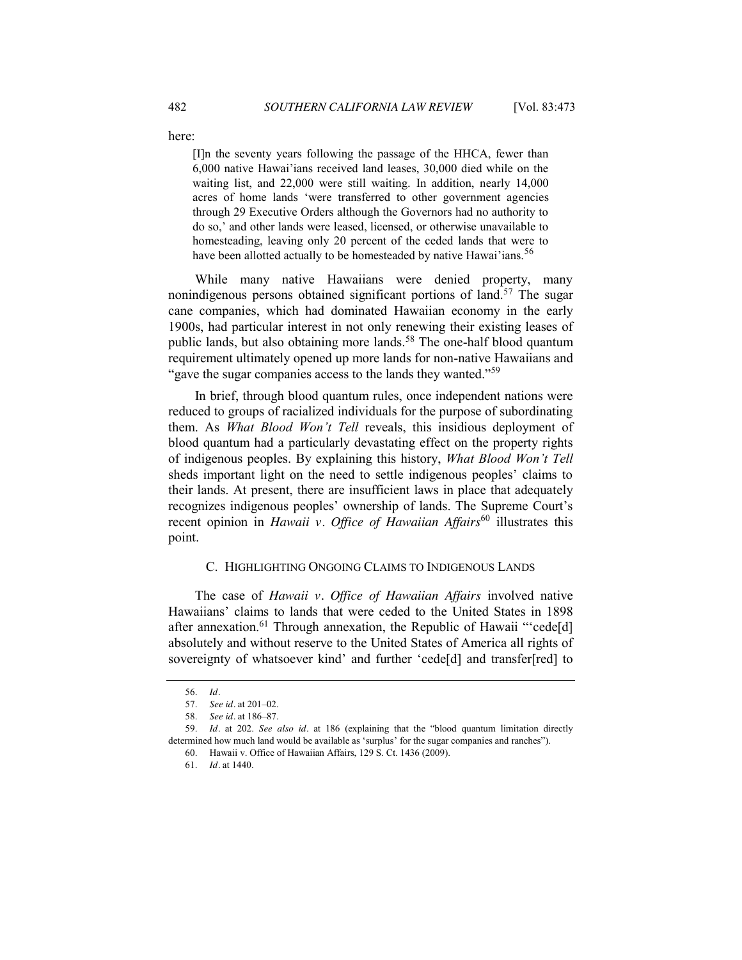here:

[I]n the seventy years following the passage of the HHCA, fewer than 6,000 native Hawai'ians received land leases, 30,000 died while on the waiting list, and 22,000 were still waiting. In addition, nearly 14,000 acres of home lands ‗were transferred to other government agencies through 29 Executive Orders although the Governors had no authority to do so,' and other lands were leased, licensed, or otherwise unavailable to homesteading, leaving only 20 percent of the ceded lands that were to have been allotted actually to be homesteaded by native Hawai'ians.<sup>56</sup>

While many native Hawaiians were denied property, many nonindigenous persons obtained significant portions of land.<sup>57</sup> The sugar cane companies, which had dominated Hawaiian economy in the early 1900s, had particular interest in not only renewing their existing leases of public lands, but also obtaining more lands.<sup>58</sup> The one-half blood quantum requirement ultimately opened up more lands for non-native Hawaiians and "gave the sugar companies access to the lands they wanted."<sup>59</sup>

In brief, through blood quantum rules, once independent nations were reduced to groups of racialized individuals for the purpose of subordinating them. As *What Blood Won't Tell* reveals, this insidious deployment of blood quantum had a particularly devastating effect on the property rights of indigenous peoples. By explaining this history, *What Blood Won't Tell*  sheds important light on the need to settle indigenous peoples' claims to their lands. At present, there are insufficient laws in place that adequately recognizes indigenous peoples' ownership of lands. The Supreme Court's recent opinion in *Hawaii v. Office of Hawaiian Affairs*<sup>60</sup> illustrates this point.

### C. HIGHLIGHTING ONGOING CLAIMS TO INDIGENOUS LANDS

The case of *Hawaii v. Office of Hawaiian Affairs* involved native Hawaiians' claims to lands that were ceded to the United States in 1898 after annexation.<sup>61</sup> Through annexation, the Republic of Hawaii "cede[d] absolutely and without reserve to the United States of America all rights of sovereignty of whatsoever kind' and further 'cede[d] and transfer[red] to

<sup>56.</sup> *Id.*

<sup>57.</sup> *See id.* at 201–02.

<sup>58.</sup> *See id.* at 186–87.

<sup>59.</sup> *Id.* at 202. *See also id.* at 186 (explaining that the "blood quantum limitation directly determined how much land would be available as 'surplus' for the sugar companies and ranches").

<sup>60.</sup> Hawaii v. Office of Hawaiian Affairs, 129 S. Ct. 1436 (2009).

<sup>61.</sup> *Id.* at 1440.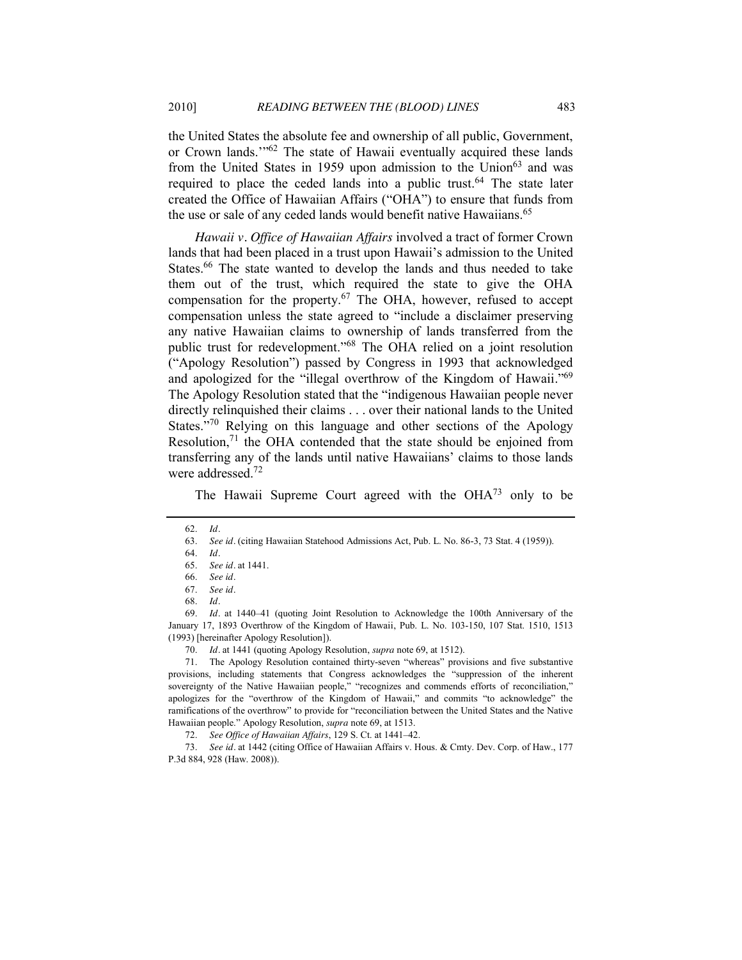the United States the absolute fee and ownership of all public, Government, or Crown lands.<sup>"62</sup> The state of Hawaii eventually acquired these lands from the United States in 1959 upon admission to the Union<sup>63</sup> and was required to place the ceded lands into a public trust.<sup>64</sup> The state later created the Office of Hawaiian Affairs ("OHA") to ensure that funds from the use or sale of any ceded lands would benefit native Hawaiians.<sup>65</sup>

*Hawaii v. Office of Hawaiian Affairs* involved a tract of former Crown lands that had been placed in a trust upon Hawaii's admission to the United States.<sup>66</sup> The state wanted to develop the lands and thus needed to take them out of the trust, which required the state to give the OHA compensation for the property.<sup>67</sup> The OHA, however, refused to accept compensation unless the state agreed to "include a disclaimer preserving any native Hawaiian claims to ownership of lands transferred from the public trust for redevelopment."<sup>68</sup> The OHA relied on a joint resolution (―Apology Resolution‖) passed by Congress in 1993 that acknowledged and apologized for the "illegal overthrow of the Kingdom of Hawaii." $69$ The Apology Resolution stated that the "indigenous Hawaiian people never directly relinquished their claims . . . over their national lands to the United States."<sup>70</sup> Relying on this language and other sections of the Apology Resolution.<sup>71</sup> the OHA contended that the state should be enjoined from transferring any of the lands until native Hawaiians' claims to those lands were addressed.<sup>72</sup>

<span id="page-10-0"></span>The Hawaii Supreme Court agreed with the  $OHA^{73}$  only to be

69. *Id.* at 1440–41 (quoting Joint Resolution to Acknowledge the 100th Anniversary of the January 17, 1893 Overthrow of the Kingdom of Hawaii, Pub. L. No. 103-150, 107 Stat. 1510, 1513 (1993) [hereinafter Apology Resolution]).

71. The Apology Resolution contained thirty-seven "whereas" provisions and five substantive provisions, including statements that Congress acknowledges the "suppression of the inherent sovereignty of the Native Hawaiian people," "recognizes and commends efforts of reconciliation," apologizes for the "overthrow of the Kingdom of Hawaii," and commits "to acknowledge" the ramifications of the overthrow" to provide for "reconciliation between the United States and the Native Hawaiian people." Apology Resolution, *supra* not[e 69,](#page-10-0) at 1513.

72. *See Office of Hawaiian Affairs*, 129 S. Ct. at 1441–42.

73. *See id.* at 1442 (citing Office of Hawaiian Affairs v. Hous. & Cmty. Dev. Corp. of Haw., 177 P.3d 884, 928 (Haw. 2008)).

<sup>62.</sup> *Id.*

<sup>63.</sup> *See id.* (citing Hawaiian Statehood Admissions Act, Pub. L. No. 86-3, 73 Stat. 4 (1959)).

<sup>64.</sup> *Id.*

<sup>65.</sup> *See id.* at 1441.

<sup>66.</sup> *See id.*

<sup>67.</sup> *See id.*

<sup>68.</sup> *Id.*

<sup>70.</sup> *Id.* at 1441 (quoting Apology Resolution, *supra* not[e 69,](#page-10-0) at 1512).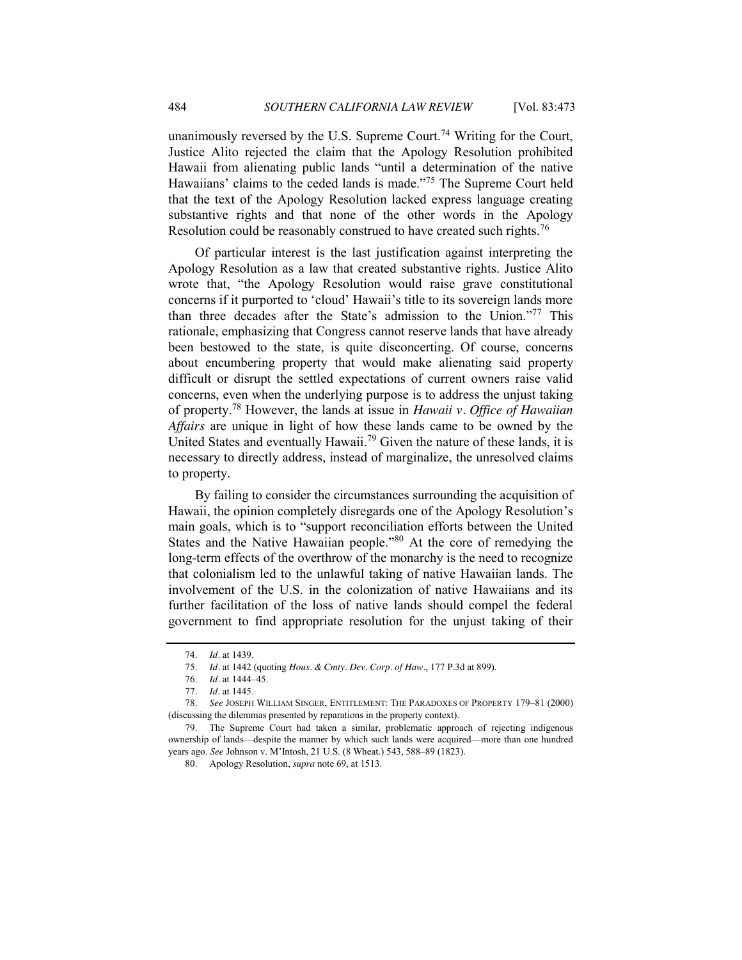unanimously reversed by the U.S. Supreme Court.<sup>74</sup> Writing for the Court, Justice Alito rejected the claim that the Apology Resolution prohibited Hawaii from alienating public lands "until a determination of the native Hawaiians' claims to the ceded lands is made."<sup>75</sup> The Supreme Court held that the text of the Apology Resolution lacked express language creating substantive rights and that none of the other words in the Apology Resolution could be reasonably construed to have created such rights.<sup>76</sup>

Of particular interest is the last justification against interpreting the Apology Resolution as a law that created substantive rights. Justice Alito wrote that, "the Apology Resolution would raise grave constitutional concerns if it purported to 'cloud' Hawaii's title to its sovereign lands more than three decades after the State's admission to the Union."77 This rationale, emphasizing that Congress cannot reserve lands that have already been bestowed to the state, is quite disconcerting. Of course, concerns about encumbering property that would make alienating said property difficult or disrupt the settled expectations of current owners raise valid concerns, even when the underlying purpose is to address the unjust taking of property. <sup>78</sup> However, the lands at issue in *Hawaii v. Office of Hawaiian Affairs* are unique in light of how these lands came to be owned by the United States and eventually Hawaii.<sup>79</sup> Given the nature of these lands, it is necessary to directly address, instead of marginalize, the unresolved claims to property.

<span id="page-11-0"></span>By failing to consider the circumstances surrounding the acquisition of Hawaii, the opinion completely disregards one of the Apology Resolution's main goals, which is to "support reconciliation efforts between the United States and the Native Hawaiian people.<sup>80</sup> At the core of remedying the long-term effects of the overthrow of the monarchy is the need to recognize that colonialism led to the unlawful taking of native Hawaiian lands. The involvement of the U.S. in the colonization of native Hawaiians and its further facilitation of the loss of native lands should compel the federal government to find appropriate resolution for the unjust taking of their

<sup>74.</sup> *Id.* at 1439.

<sup>75.</sup> *Id.* at 1442 (quoting *Hous. & Cmty. Dev. Corp. of Haw.*, 177 P.3d at 899).

<sup>76.</sup> *Id.* at 1444–45.

<sup>77.</sup> *Id.* at 1445.

<sup>78.</sup> *See* JOSEPH WILLIAM SINGER, ENTITLEMENT: THE PARADOXES OF PROPERTY 179–81 (2000) (discussing the dilemmas presented by reparations in the property context).

<sup>79.</sup> The Supreme Court had taken a similar, problematic approach of rejecting indigenous ownership of lands—despite the manner by which such lands were acquired—more than one hundred years ago. *See* Johnson v. M'Intosh, 21 U.S. (8 Wheat.) 543, 588–89 (1823).

<sup>80.</sup> Apology Resolution, *supra* not[e 69,](#page-10-0) at 1513.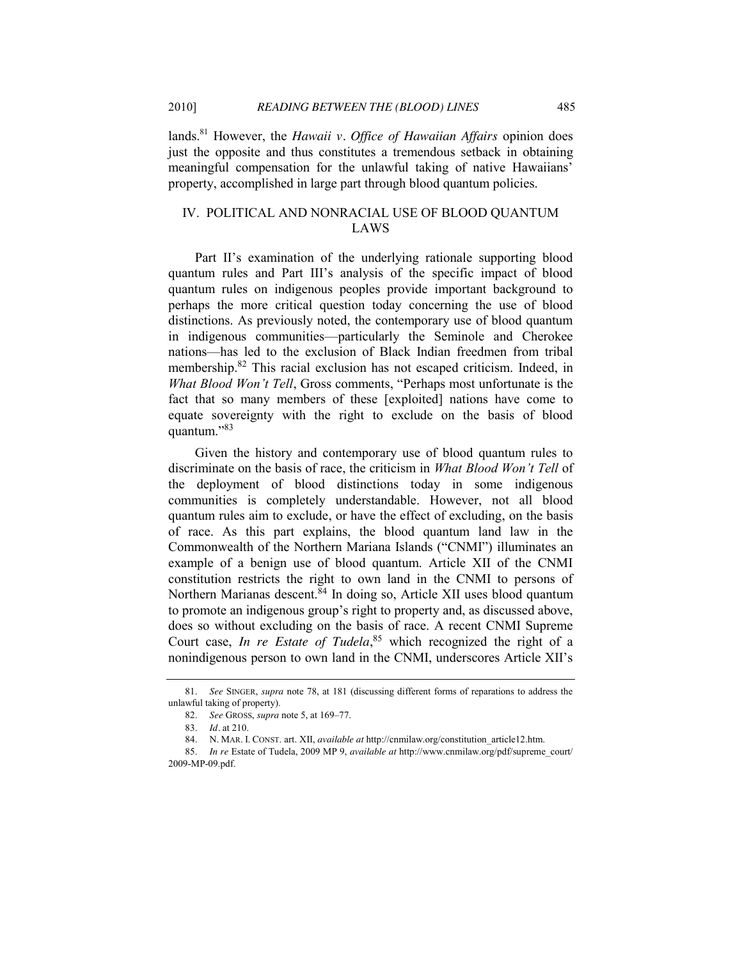lands. <sup>81</sup> However, the *Hawaii v. Office of Hawaiian Affairs* opinion does just the opposite and thus constitutes a tremendous setback in obtaining meaningful compensation for the unlawful taking of native Hawaiians' property, accomplished in large part through blood quantum policies.

## IV. POLITICAL AND NONRACIAL USE OF BLOOD QUANTUM LAWS

Part II's examination of the underlying rationale supporting blood quantum rules and Part III's analysis of the specific impact of blood quantum rules on indigenous peoples provide important background to perhaps the more critical question today concerning the use of blood distinctions. As previously noted, the contemporary use of blood quantum in indigenous communities—particularly the Seminole and Cherokee nations—has led to the exclusion of Black Indian freedmen from tribal membership.82 This racial exclusion has not escaped criticism. Indeed, in *What Blood Won't Tell*, Gross comments, "Perhaps most unfortunate is the fact that so many members of these [exploited] nations have come to equate sovereignty with the right to exclude on the basis of blood quantum."83

Given the history and contemporary use of blood quantum rules to discriminate on the basis of race, the criticism in *What Blood Won't Tell* of the deployment of blood distinctions today in some indigenous communities is completely understandable. However, not all blood quantum rules aim to exclude, or have the effect of excluding, on the basis of race. As this part explains, the blood quantum land law in the Commonwealth of the Northern Mariana Islands ("CNMI") illuminates an example of a benign use of blood quantum. Article XII of the CNMI constitution restricts the right to own land in the CNMI to persons of Northern Marianas descent. $84$  In doing so, Article XII uses blood quantum to promote an indigenous group's right to property and, as discussed above, does so without excluding on the basis of race. A recent CNMI Supreme Court case, *In re Estate of Tudela*, <sup>85</sup> which recognized the right of a nonindigenous person to own land in the CNMI, underscores Article XII's

<sup>81.</sup> *See* SINGER, *supra* note [78,](#page-11-0) at 181 (discussing different forms of reparations to address the unlawful taking of property).

<sup>82.</sup> *See* GROSS, *supra* not[e 5,](#page-0-1) at 169–77.

<sup>83.</sup> *Id.* at 210.

<sup>84.</sup> N. MAR. I. CONST. art. XII, *available at* http://cnmilaw.org/constitution\_article12.htm.

<sup>85.</sup> *In re* Estate of Tudela, 2009 MP 9, *available at* http://www.cnmilaw.org/pdf/supreme\_court/ 2009-MP-09.pdf.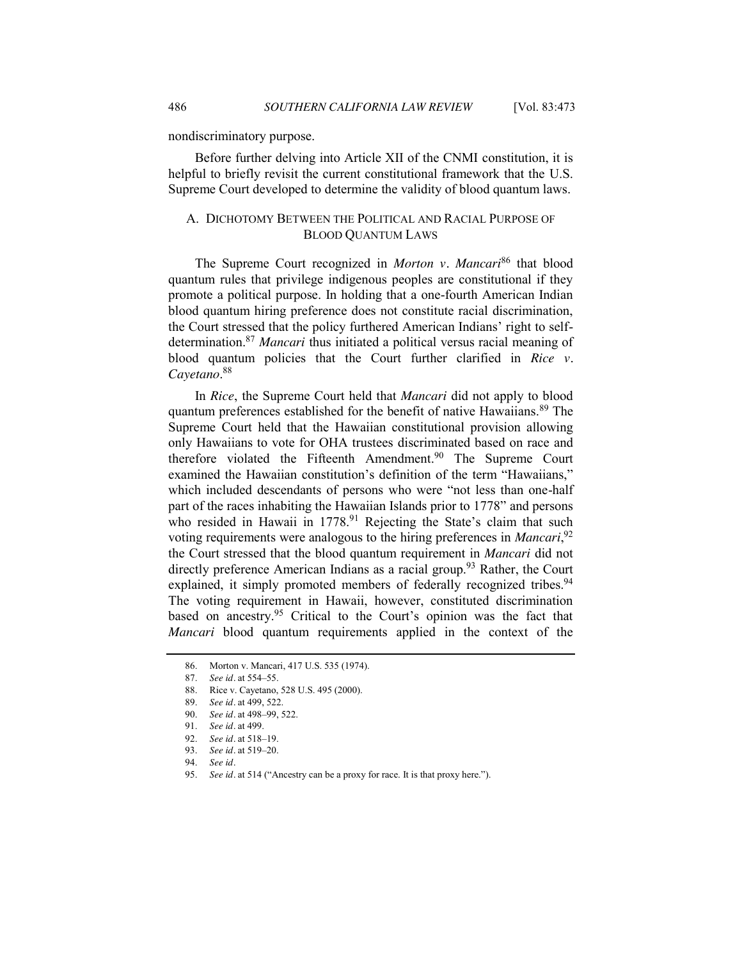nondiscriminatory purpose.

Before further delving into Article XII of the CNMI constitution, it is helpful to briefly revisit the current constitutional framework that the U.S. Supreme Court developed to determine the validity of blood quantum laws.

## A. DICHOTOMY BETWEEN THE POLITICAL AND RACIAL PURPOSE OF BLOOD QUANTUM LAWS

The Supreme Court recognized in *Morton v. Mancari*<sup>86</sup> that blood quantum rules that privilege indigenous peoples are constitutional if they promote a political purpose. In holding that a one-fourth American Indian blood quantum hiring preference does not constitute racial discrimination, the Court stressed that the policy furthered American Indians' right to selfdetermination.87 *Mancari* thus initiated a political versus racial meaning of blood quantum policies that the Court further clarified in *Rice v. Cayetano*. 88

In *Rice*, the Supreme Court held that *Mancari* did not apply to blood quantum preferences established for the benefit of native Hawaiians.<sup>89</sup> The Supreme Court held that the Hawaiian constitutional provision allowing only Hawaiians to vote for OHA trustees discriminated based on race and therefore violated the Fifteenth Amendment. <sup>90</sup> The Supreme Court examined the Hawaiian constitution's definition of the term "Hawaiians," which included descendants of persons who were "not less than one-half part of the races inhabiting the Hawaiian Islands prior to 1778" and persons who resided in Hawaii in  $1778<sup>91</sup>$  Rejecting the State's claim that such voting requirements were analogous to the hiring preferences in *Mancari*<sup>92</sup> the Court stressed that the blood quantum requirement in *Mancari* did not directly preference American Indians as a racial group.<sup>93</sup> Rather, the Court explained, it simply promoted members of federally recognized tribes.<sup>94</sup> The voting requirement in Hawaii, however, constituted discrimination based on ancestry.<sup>95</sup> Critical to the Court's opinion was the fact that *Mancari* blood quantum requirements applied in the context of the

<sup>86.</sup> Morton v. Mancari, 417 U.S. 535 (1974).

<sup>87.</sup> *See id.* at 554–55.

<sup>88.</sup> Rice v. Cayetano, 528 U.S. 495 (2000).

<sup>89.</sup> *See id.* at 499, 522.

<sup>90.</sup> *See id.* at 498–99, 522.

<sup>91.</sup> *See id.* at 499.

<sup>92.</sup> *See id.* at 518–19.

<sup>93.</sup> *See id.* at 519–20.

<sup>94.</sup> *See id.*

<sup>95.</sup> *See id.* at 514 ("Ancestry can be a proxy for race. It is that proxy here.").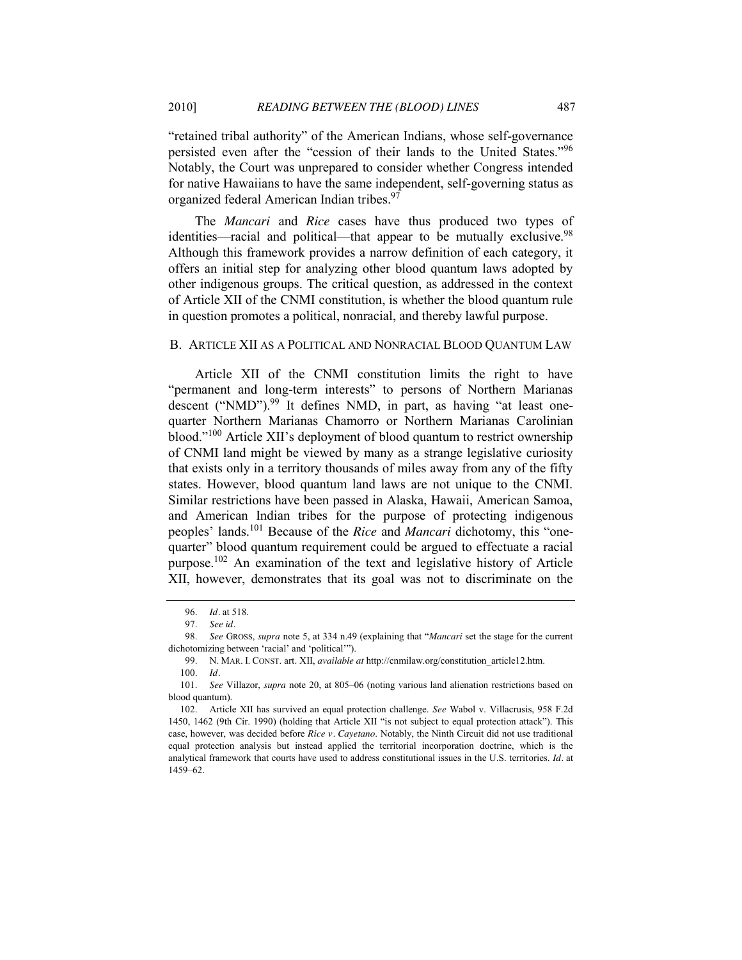―retained tribal authority‖ of the American Indians, whose self-governance persisted even after the "cession of their lands to the United States."<sup>96</sup> Notably, the Court was unprepared to consider whether Congress intended for native Hawaiians to have the same independent, self-governing status as organized federal American Indian tribes.<sup>97</sup>

The *Mancari* and *Rice* cases have thus produced two types of identities—racial and political—that appear to be mutually exclusive.<sup>98</sup> Although this framework provides a narrow definition of each category, it offers an initial step for analyzing other blood quantum laws adopted by other indigenous groups. The critical question, as addressed in the context of Article XII of the CNMI constitution, is whether the blood quantum rule in question promotes a political, nonracial, and thereby lawful purpose.

#### B. ARTICLE XII AS A POLITICAL AND NONRACIAL BLOOD QUANTUM LAW

Article XII of the CNMI constitution limits the right to have "permanent and long-term interests" to persons of Northern Marianas descent ("NMD"). $99$  It defines NMD, in part, as having "at least onequarter Northern Marianas Chamorro or Northern Marianas Carolinian blood." $100$  Article XII's deployment of blood quantum to restrict ownership of CNMI land might be viewed by many as a strange legislative curiosity that exists only in a territory thousands of miles away from any of the fifty states. However, blood quantum land laws are not unique to the CNMI. Similar restrictions have been passed in Alaska, Hawaii, American Samoa, and American Indian tribes for the purpose of protecting indigenous peoples' lands.<sup>101</sup> Because of the *Rice* and *Mancari* dichotomy, this "onequarter" blood quantum requirement could be argued to effectuate a racial purpose.102 An examination of the text and legislative history of Article XII, however, demonstrates that its goal was not to discriminate on the

<sup>96.</sup> *Id.* at 518.

<sup>97.</sup> *See id.*

<sup>98.</sup> *See GROSS, supra* note [5,](#page-0-1) at 334 n.49 (explaining that "*Mancari* set the stage for the current dichotomizing between 'racial' and 'political'").

<sup>99.</sup> N. MAR. I. CONST. art. XII, *available at* http://cnmilaw.org/constitution\_article12.htm. 100. *Id.*

<sup>101.</sup> *See* Villazor, *supra* note [20,](#page-3-0) at 805–06 (noting various land alienation restrictions based on blood quantum).

<sup>102.</sup> Article XII has survived an equal protection challenge. *See* Wabol v. Villacrusis, 958 F.2d 1450, 1462 (9th Cir. 1990) (holding that Article XII "is not subject to equal protection attack"). This case, however, was decided before *Rice v. Cayetano*. Notably, the Ninth Circuit did not use traditional equal protection analysis but instead applied the territorial incorporation doctrine, which is the analytical framework that courts have used to address constitutional issues in the U.S. territories. *Id.* at 1459–62.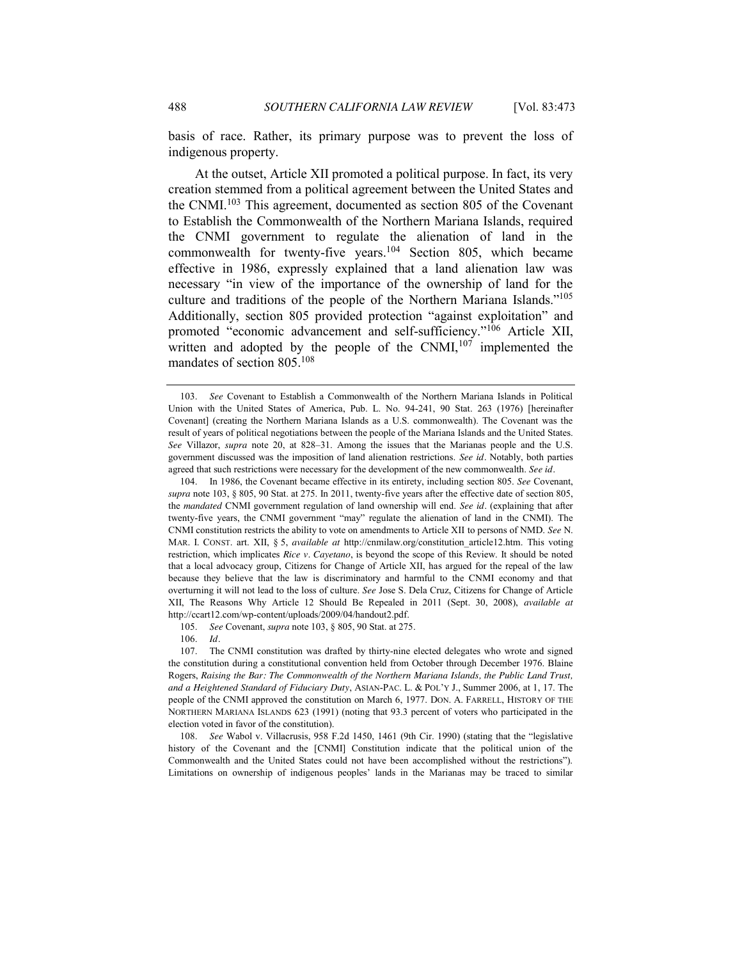basis of race. Rather, its primary purpose was to prevent the loss of indigenous property.

<span id="page-15-0"></span>At the outset, Article XII promoted a political purpose. In fact, its very creation stemmed from a political agreement between the United States and the CNMI.<sup>103</sup> This agreement, documented as section 805 of the Covenant to Establish the Commonwealth of the Northern Mariana Islands, required the CNMI government to regulate the alienation of land in the commonwealth for twenty-five years.<sup>104</sup> Section 805, which became effective in 1986, expressly explained that a land alienation law was necessary "in view of the importance of the ownership of land for the culture and traditions of the people of the Northern Mariana Islands."<sup>105</sup> Additionally, section 805 provided protection "against exploitation" and promoted "economic advancement and self-sufficiency."<sup>106</sup> Article XII, written and adopted by the people of the  $CNMI$ ,  $^{107}$  implemented the mandates of section 805.108

<sup>103.</sup> *See* Covenant to Establish a Commonwealth of the Northern Mariana Islands in Political Union with the United States of America, Pub. L. No. 94-241, 90 Stat. 263 (1976) [hereinafter Covenant] (creating the Northern Mariana Islands as a U.S. commonwealth). The Covenant was the result of years of political negotiations between the people of the Mariana Islands and the United States. *See* Villazor, *supra* note [20,](#page-3-0) at 828–31. Among the issues that the Marianas people and the U.S. government discussed was the imposition of land alienation restrictions. *See id.* Notably, both parties agreed that such restrictions were necessary for the development of the new commonwealth. *See id.*

<sup>104.</sup> In 1986, the Covenant became effective in its entirety, including section 805. *See* Covenant, *supra* not[e 103,](#page-15-0) § 805, 90 Stat. at 275. In 2011, twenty-five years after the effective date of section 805, the *mandated* CNMI government regulation of land ownership will end. *See id.* (explaining that after twenty-five years, the CNMI government "may" regulate the alienation of land in the CNMI). The CNMI constitution restricts the ability to vote on amendments to Article XII to persons of NMD. *See* N. MAR. I. CONST. art. XII, § 5, *available at* http://cnmilaw.org/constitution\_article12.htm. This voting restriction, which implicates *Rice v. Cayetano*, is beyond the scope of this Review. It should be noted that a local advocacy group, Citizens for Change of Article XII, has argued for the repeal of the law because they believe that the law is discriminatory and harmful to the CNMI economy and that overturning it will not lead to the loss of culture. *See* Jose S. Dela Cruz, Citizens for Change of Article XII, The Reasons Why Article 12 Should Be Repealed in 2011 (Sept. 30, 2008), *available at* http://ccart12.com/wp-content/uploads/2009/04/handout2.pdf.

<sup>105.</sup> *See* Covenant, *supra* note [103,](#page-15-0) § 805, 90 Stat. at 275.

<sup>106.</sup> *Id.*

<sup>107.</sup> The CNMI constitution was drafted by thirty-nine elected delegates who wrote and signed the constitution during a constitutional convention held from October through December 1976. Blaine Rogers, *Raising the Bar: The Commonwealth of the Northern Mariana Islands, the Public Land Trust, and a Heightened Standard of Fiduciary Duty*, ASIAN-PAC. L. & POL'Y J., Summer 2006, at 1, 17. The people of the CNMI approved the constitution on March 6, 1977. DON. A. FARRELL, HISTORY OF THE NORTHERN MARIANA ISLANDS 623 (1991) (noting that 93.3 percent of voters who participated in the election voted in favor of the constitution).

<sup>108.</sup> *See* Wabol v. Villacrusis, 958 F.2d 1450, 1461 (9th Cir. 1990) (stating that the "legislative history of the Covenant and the [CNMI] Constitution indicate that the political union of the Commonwealth and the United States could not have been accomplished without the restrictions"). Limitations on ownership of indigenous peoples' lands in the Marianas may be traced to similar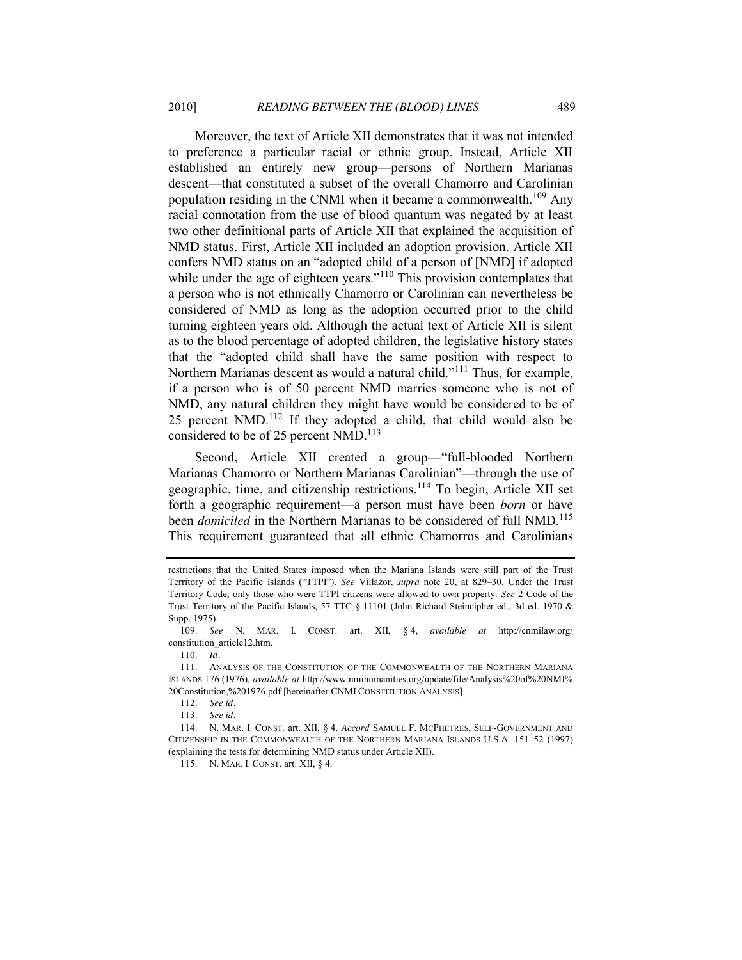Moreover, the text of Article XII demonstrates that it was not intended to preference a particular racial or ethnic group. Instead, Article XII established an entirely new group—persons of Northern Marianas descent—that constituted a subset of the overall Chamorro and Carolinian population residing in the CNMI when it became a commonwealth.<sup>109</sup> Any racial connotation from the use of blood quantum was negated by at least two other definitional parts of Article XII that explained the acquisition of NMD status. First, Article XII included an adoption provision. Article XII confers NMD status on an "adopted child of a person of [NMD] if adopted while under the age of eighteen years." $110$  This provision contemplates that a person who is not ethnically Chamorro or Carolinian can nevertheless be considered of NMD as long as the adoption occurred prior to the child turning eighteen years old. Although the actual text of Article XII is silent as to the blood percentage of adopted children, the legislative history states that the "adopted child shall have the same position with respect to Northern Marianas descent as would a natural child."<sup>111</sup> Thus, for example, if a person who is of 50 percent NMD marries someone who is not of NMD, any natural children they might have would be considered to be of 25 percent NMD.<sup>112</sup> If they adopted a child, that child would also be considered to be of 25 percent NMD.<sup>113</sup>

<span id="page-16-1"></span><span id="page-16-0"></span>Second, Article XII created a group—"full-blooded Northern Marianas Chamorro or Northern Marianas Carolinian"—through the use of geographic, time, and citizenship restrictions.114 To begin, Article XII set forth a geographic requirement—a person must have been *born* or have been *domiciled* in the Northern Marianas to be considered of full NMD.<sup>115</sup> This requirement guaranteed that all ethnic Chamorros and Carolinians

restrictions that the United States imposed when the Mariana Islands were still part of the Trust Territory of the Pacific Islands ("TTPI"). *See* Villazor, *supra* note [20,](#page-3-0) at 829–30. Under the Trust Territory Code, only those who were TTPI citizens were allowed to own property. *See* 2 Code of the Trust Territory of the Pacific Islands, 57 TTC § 11101 (John Richard Steincipher ed., 3d ed. 1970 & Supp. 1975).

<sup>109.</sup> *See* N. MAR. I. CONST. art. XII, § 4, *available at* http://cnmilaw.org/ constitution\_article12.htm.

<sup>110.</sup> *Id.* 

<sup>111.</sup> ANALYSIS OF THE CONSTITUTION OF THE COMMONWEALTH OF THE NORTHERN MARIANA ISLANDS 176 (1976), *available at* http://www.nmihumanities.org/update/file/Analysis%20of%20NMI% 20Constitution,%201976.pdf [hereinafter CNMI CONSTITUTION ANALYSIS].

<sup>112.</sup> *See id.*

<sup>113.</sup> *See id.*

<sup>114.</sup> N. MAR. I. CONST. art. XII, § 4. *Accord* SAMUEL F. MCPHETRES, SELF-GOVERNMENT AND CITIZENSHIP IN THE COMMONWEALTH OF THE NORTHERN MARIANA ISLANDS U.S.A. 151–52 (1997) (explaining the tests for determining NMD status under Article XII).

<sup>115.</sup> N. MAR. I. CONST. art. XII, § 4.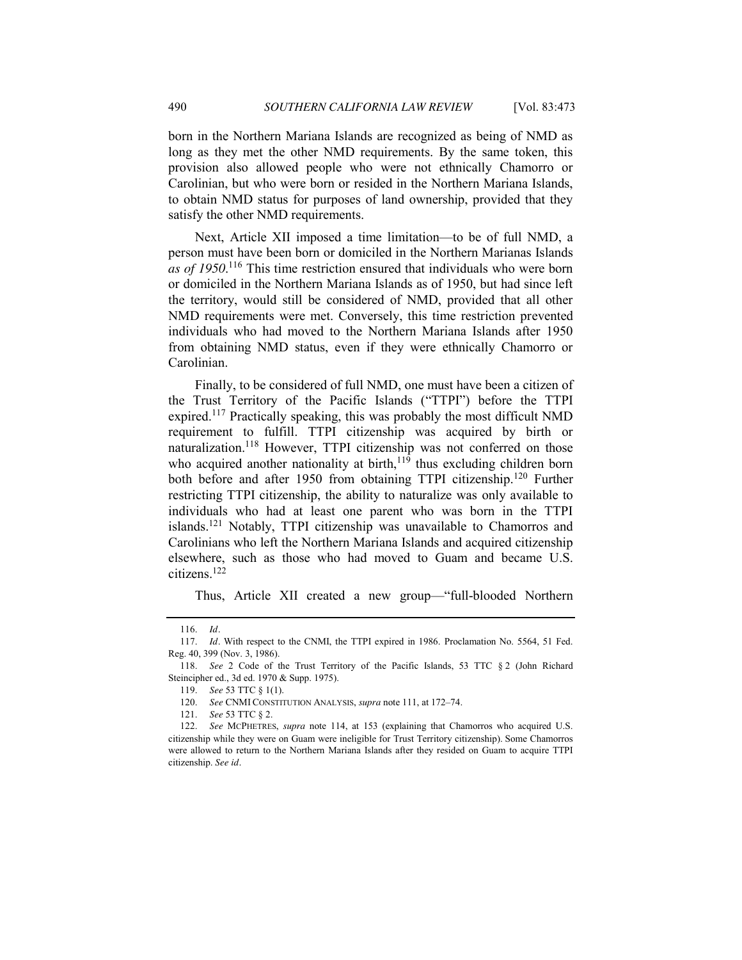born in the Northern Mariana Islands are recognized as being of NMD as long as they met the other NMD requirements. By the same token, this provision also allowed people who were not ethnically Chamorro or Carolinian, but who were born or resided in the Northern Mariana Islands, to obtain NMD status for purposes of land ownership, provided that they satisfy the other NMD requirements.

Next, Article XII imposed a time limitation—to be of full NMD, a person must have been born or domiciled in the Northern Marianas Islands *as of 1950*. <sup>116</sup> This time restriction ensured that individuals who were born or domiciled in the Northern Mariana Islands as of 1950, but had since left the territory, would still be considered of NMD, provided that all other NMD requirements were met. Conversely, this time restriction prevented individuals who had moved to the Northern Mariana Islands after 1950 from obtaining NMD status, even if they were ethnically Chamorro or Carolinian.

Finally, to be considered of full NMD, one must have been a citizen of the Trust Territory of the Pacific Islands ("TTPI") before the TTPI expired.<sup>117</sup> Practically speaking, this was probably the most difficult NMD requirement to fulfill. TTPI citizenship was acquired by birth or naturalization.<sup>118</sup> However, TTPI citizenship was not conferred on those who acquired another nationality at birth,  $119$  thus excluding children born both before and after 1950 from obtaining TTPI citizenship.<sup>120</sup> Further restricting TTPI citizenship, the ability to naturalize was only available to individuals who had at least one parent who was born in the TTPI islands.121 Notably, TTPI citizenship was unavailable to Chamorros and Carolinians who left the Northern Mariana Islands and acquired citizenship elsewhere, such as those who had moved to Guam and became U.S. citizens.122

Thus, Article XII created a new group—"full-blooded Northern

121. *See* 53 TTC § 2.

<sup>116.</sup> *Id.*

<sup>117.</sup> *Id.* With respect to the CNMI, the TTPI expired in 1986. Proclamation No. 5564, 51 Fed. Reg. 40, 399 (Nov. 3, 1986).

<sup>118.</sup> *See* 2 Code of the Trust Territory of the Pacific Islands, 53 TTC § 2 (John Richard Steincipher ed., 3d ed. 1970 & Supp. 1975).

<sup>119.</sup> *See* 53 TTC § 1(1).

<sup>120.</sup> *See* CNMI CONSTITUTION ANALYSIS, *supra* not[e 111,](#page-16-0) at 172–74.

<sup>122.</sup> *See* MCPHETRES, *supra* note [114,](#page-16-1) at 153 (explaining that Chamorros who acquired U.S. citizenship while they were on Guam were ineligible for Trust Territory citizenship). Some Chamorros were allowed to return to the Northern Mariana Islands after they resided on Guam to acquire TTPI citizenship. *See id.*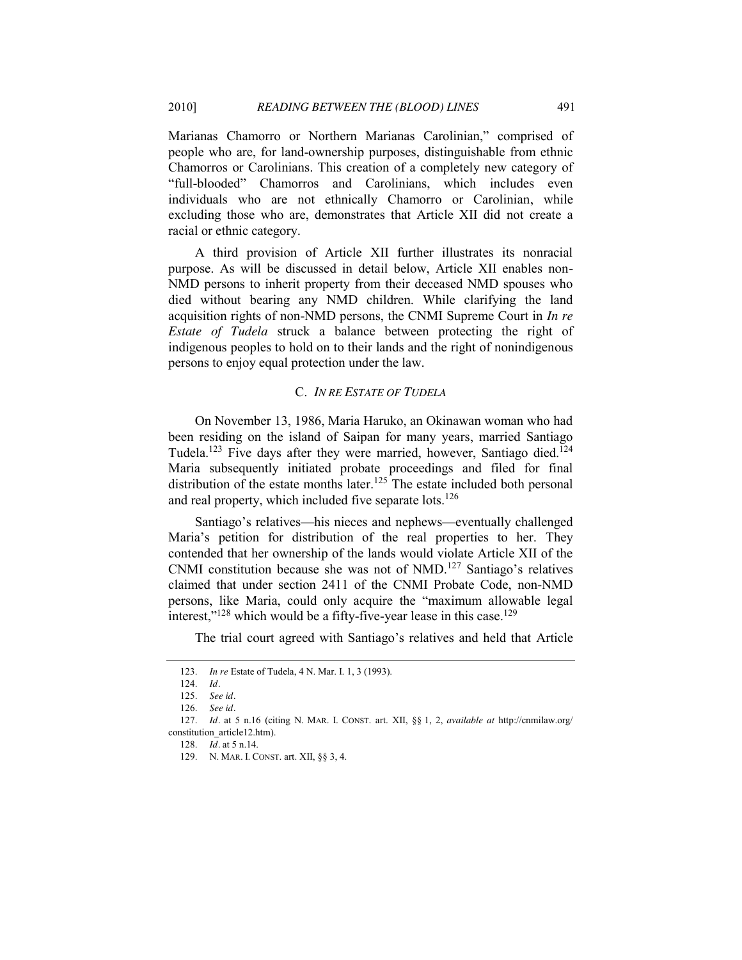Marianas Chamorro or Northern Marianas Carolinian," comprised of people who are, for land-ownership purposes, distinguishable from ethnic Chamorros or Carolinians. This creation of a completely new category of ―full-blooded‖ Chamorros and Carolinians, which includes even individuals who are not ethnically Chamorro or Carolinian, while excluding those who are, demonstrates that Article XII did not create a racial or ethnic category.

A third provision of Article XII further illustrates its nonracial purpose. As will be discussed in detail below, Article XII enables non-NMD persons to inherit property from their deceased NMD spouses who died without bearing any NMD children. While clarifying the land acquisition rights of non-NMD persons, the CNMI Supreme Court in *In re Estate of Tudela* struck a balance between protecting the right of indigenous peoples to hold on to their lands and the right of nonindigenous persons to enjoy equal protection under the law.

#### C. *IN RE ESTATE OF TUDELA*

On November 13, 1986, Maria Haruko, an Okinawan woman who had been residing on the island of Saipan for many years, married Santiago Tudela.<sup>123</sup> Five days after they were married, however, Santiago died.<sup>124</sup> Maria subsequently initiated probate proceedings and filed for final distribution of the estate months later.<sup>125</sup> The estate included both personal and real property, which included five separate lots.<sup>126</sup>

Santiago's relatives—his nieces and nephews—eventually challenged Maria's petition for distribution of the real properties to her. They contended that her ownership of the lands would violate Article XII of the CNMI constitution because she was not of NMD.<sup>127</sup> Santiago's relatives claimed that under section 2411 of the CNMI Probate Code, non-NMD persons, like Maria, could only acquire the "maximum allowable legal interest," $128$  which would be a fifty-five-year lease in this case. $129$ 

The trial court agreed with Santiago's relatives and held that Article

<sup>123.</sup> *In re* Estate of Tudela, 4 N. Mar. I. 1, 3 (1993).

<sup>124.</sup> *Id.*

<sup>125.</sup> *See id.*

<sup>126.</sup> *See id.*

<sup>127.</sup> *Id.* at 5 n.16 (citing N. MAR. I. CONST. art. XII, §§ 1, 2, *available at* http://cnmilaw.org/ constitution\_article12.htm).

<sup>128.</sup> *Id.* at 5 n.14.

<sup>129.</sup> N. MAR. I. CONST. art. XII, §§ 3, 4.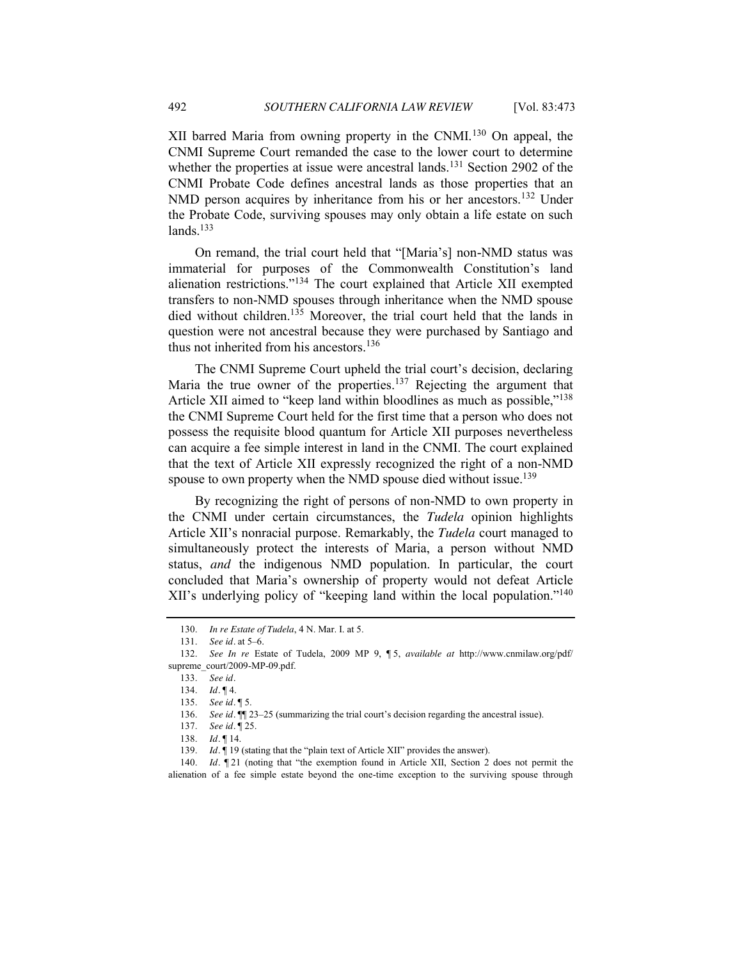XII barred Maria from owning property in the CNMI.<sup>130</sup> On appeal, the CNMI Supreme Court remanded the case to the lower court to determine whether the properties at issue were ancestral lands.<sup>131</sup> Section 2902 of the CNMI Probate Code defines ancestral lands as those properties that an NMD person acquires by inheritance from his or her ancestors.<sup>132</sup> Under the Probate Code, surviving spouses may only obtain a life estate on such  $lands.133$ 

On remand, the trial court held that "[Maria's] non-NMD status was immaterial for purposes of the Commonwealth Constitution's land alienation restrictions." $134$  The court explained that Article XII exempted transfers to non-NMD spouses through inheritance when the NMD spouse died without children.<sup>135</sup> Moreover, the trial court held that the lands in question were not ancestral because they were purchased by Santiago and thus not inherited from his ancestors.<sup>136</sup>

The CNMI Supreme Court upheld the trial court's decision, declaring Maria the true owner of the properties.<sup>137</sup> Rejecting the argument that Article XII aimed to "keep land within bloodlines as much as possible,"<sup>138</sup> the CNMI Supreme Court held for the first time that a person who does not possess the requisite blood quantum for Article XII purposes nevertheless can acquire a fee simple interest in land in the CNMI. The court explained that the text of Article XII expressly recognized the right of a non-NMD spouse to own property when the NMD spouse died without issue.<sup>139</sup>

By recognizing the right of persons of non-NMD to own property in the CNMI under certain circumstances, the *Tudela* opinion highlights Article XII's nonracial purpose. Remarkably, the *Tudela* court managed to simultaneously protect the interests of Maria, a person without NMD status, *and* the indigenous NMD population. In particular, the court concluded that Maria's ownership of property would not defeat Article XII's underlying policy of "keeping land within the local population."<sup>140</sup>

<sup>130.</sup> *In re Estate of Tudela*, 4 N. Mar. I. at 5.

<sup>131.</sup> *See id.* at 5–6.

<sup>132.</sup> *See In re* Estate of Tudela, 2009 MP 9, ¶ 5, *available at* http://www.cnmilaw.org/pdf/ supreme\_court/2009-MP-09.pdf.

<sup>133.</sup> *See id.*

<sup>134.</sup> *Id.* ¶ 4.

<sup>135.</sup> *See id.* ¶ 5.

<sup>136.</sup> *See id.*  $\blacksquare$  23–25 (summarizing the trial court's decision regarding the ancestral issue).

<sup>137.</sup> *See id.* ¶ 25.

<sup>138.</sup> *Id.* ¶ 14.

<sup>139.</sup> *Id.* 19 (stating that the "plain text of Article XII" provides the answer).

<sup>140.</sup> *Id.*  $\mathbb{I}$  21 (noting that "the exemption found in Article XII, Section 2 does not permit the alienation of a fee simple estate beyond the one-time exception to the surviving spouse through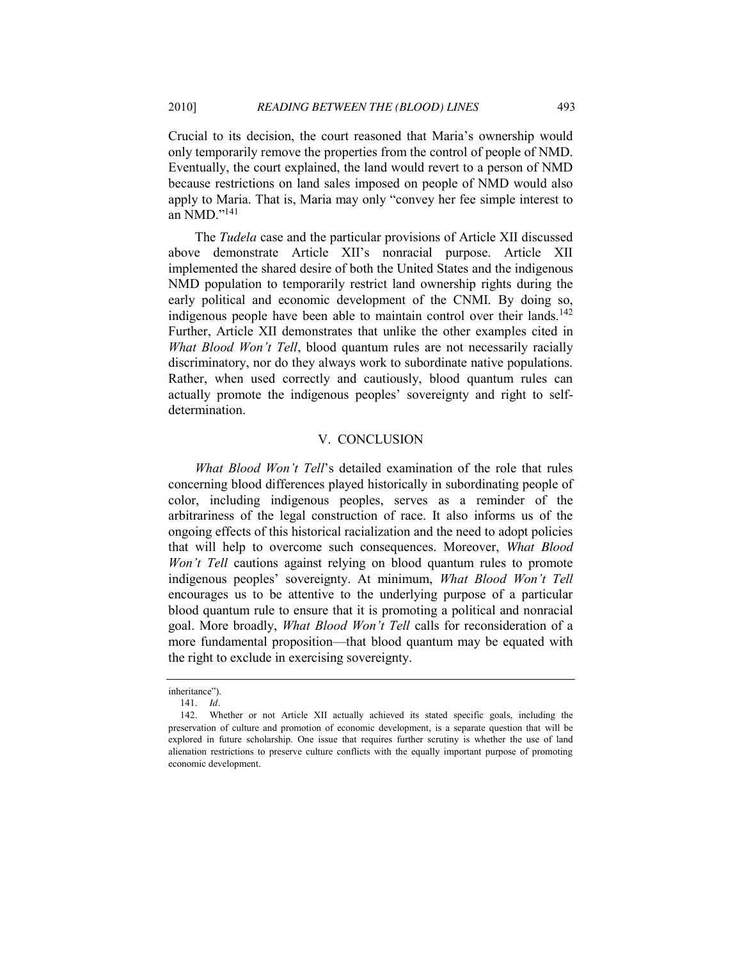Crucial to its decision, the court reasoned that Maria's ownership would only temporarily remove the properties from the control of people of NMD. Eventually, the court explained, the land would revert to a person of NMD because restrictions on land sales imposed on people of NMD would also apply to Maria. That is, Maria may only "convey her fee simple interest to an NMD." $141$ 

The *Tudela* case and the particular provisions of Article XII discussed above demonstrate Article XII's nonracial purpose. Article XII implemented the shared desire of both the United States and the indigenous NMD population to temporarily restrict land ownership rights during the early political and economic development of the CNMI. By doing so, indigenous people have been able to maintain control over their lands.<sup>142</sup> Further, Article XII demonstrates that unlike the other examples cited in *What Blood Won't Tell*, blood quantum rules are not necessarily racially discriminatory, nor do they always work to subordinate native populations. Rather, when used correctly and cautiously, blood quantum rules can actually promote the indigenous peoples' sovereignty and right to selfdetermination.

## V. CONCLUSION

*What Blood Won't Tell*'s detailed examination of the role that rules concerning blood differences played historically in subordinating people of color, including indigenous peoples, serves as a reminder of the arbitrariness of the legal construction of race. It also informs us of the ongoing effects of this historical racialization and the need to adopt policies that will help to overcome such consequences. Moreover, *What Blood Won't Tell* cautions against relying on blood quantum rules to promote indigenous peoples' sovereignty. At minimum, *What Blood Won't Tell*  encourages us to be attentive to the underlying purpose of a particular blood quantum rule to ensure that it is promoting a political and nonracial goal. More broadly, *What Blood Won't Tell* calls for reconsideration of a more fundamental proposition—that blood quantum may be equated with the right to exclude in exercising sovereignty.

inheritance").

<sup>141.</sup> *Id.*

<sup>142.</sup> Whether or not Article XII actually achieved its stated specific goals, including the preservation of culture and promotion of economic development, is a separate question that will be explored in future scholarship. One issue that requires further scrutiny is whether the use of land alienation restrictions to preserve culture conflicts with the equally important purpose of promoting economic development.